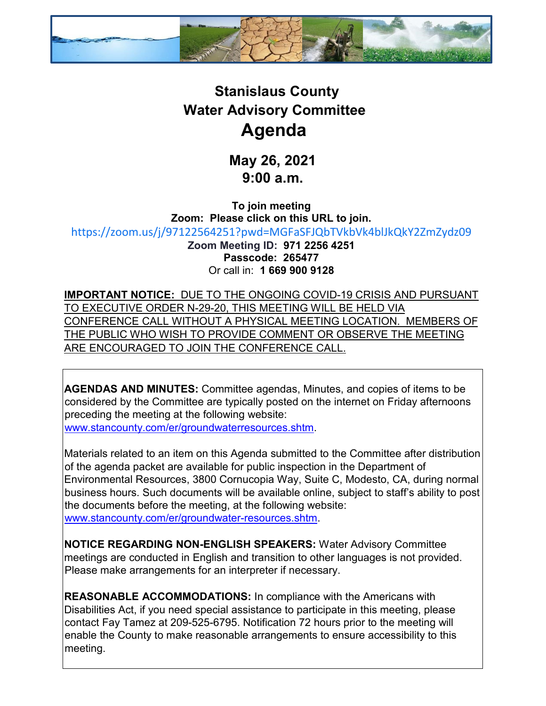

## **Stanislaus County Water Advisory Committee Agenda**

**May 26, 2021 9:00 a.m.** 

**To join meeting Zoom: Please click on this URL to join.** [https://zoom.us/j/97122564251?pwd=MGFaSFJQbTVkbVk4blJkQkY2ZmZydz09](https://gcc02.safelinks.protection.outlook.com/?url=https%3A%2F%2Fzoom.us%2Fj%2F97122564251%3Fpwd%3DMGFaSFJQbTVkbVk4blJkQkY2ZmZydz09&data=04%7C01%7CFtamez%40envres.org%7Cc116de31f7224ff7147408d91a2b2e58%7Ce73b77d83dbd4d4e8d82f3153670356d%7C0%7C0%7C637569595029066928%7CUnknown%7CTWFpbGZsb3d8eyJWIjoiMC4wLjAwMDAiLCJQIjoiV2luMzIiLCJBTiI6Ik1haWwiLCJXVCI6Mn0%3D%7C1000&sdata=FwMSQoPbrcLcfbG79cUenmYG%2BCiTD8zi%2FgJceMyr3w4%3D&reserved=0) **Zoom Meeting ID: 971 2256 4251 Passcode: 265477** Or call in: **1 669 900 9128**

**IMPORTANT NOTICE:** DUE TO THE ONGOING COVID-19 CRISIS AND PURSUANT TO EXECUTIVE ORDER N-29-20, THIS MEETING WILL BE HELD VIA CONFERENCE CALL WITHOUT A PHYSICAL MEETING LOCATION. MEMBERS OF THE PUBLIC WHO WISH TO PROVIDE COMMENT OR OBSERVE THE MEETING ARE ENCOURAGED TO JOIN THE CONFERENCE CALL.

**AGENDAS AND MINUTES:** Committee agendas, Minutes, and copies of items to be considered by the Committee are typically posted on the internet on Friday afternoons preceding the meeting at the following website: [www.stancounty.com/er/groundwaterresources.shtm.](http://www.stancounty.com/er/groundwater-resources.shtm) 

Materials related to an item on this Agenda submitted to the Committee after distribution of the agenda packet are available for public inspection in the Department of Environmental Resources, 3800 Cornucopia Way, Suite C, Modesto, CA, during normal business hours. Such documents will be available online, subject to staff's ability to post the documents before the meeting, at the following website: [www.stancounty.com/er/groundwater-resources.shtm.](http://www.stancounty.com/er/groundwater-resources.shtm) 

**NOTICE REGARDING NON-ENGLISH SPEAKERS:** Water Advisory Committee meetings are conducted in English and transition to other languages is not provided. Please make arrangements for an interpreter if necessary.

**REASONABLE ACCOMMODATIONS:** In compliance with the Americans with Disabilities Act, if you need special assistance to participate in this meeting, please contact Fay Tamez at 209-525-6795. Notification 72 hours prior to the meeting will enable the County to make reasonable arrangements to ensure accessibility to this meeting.